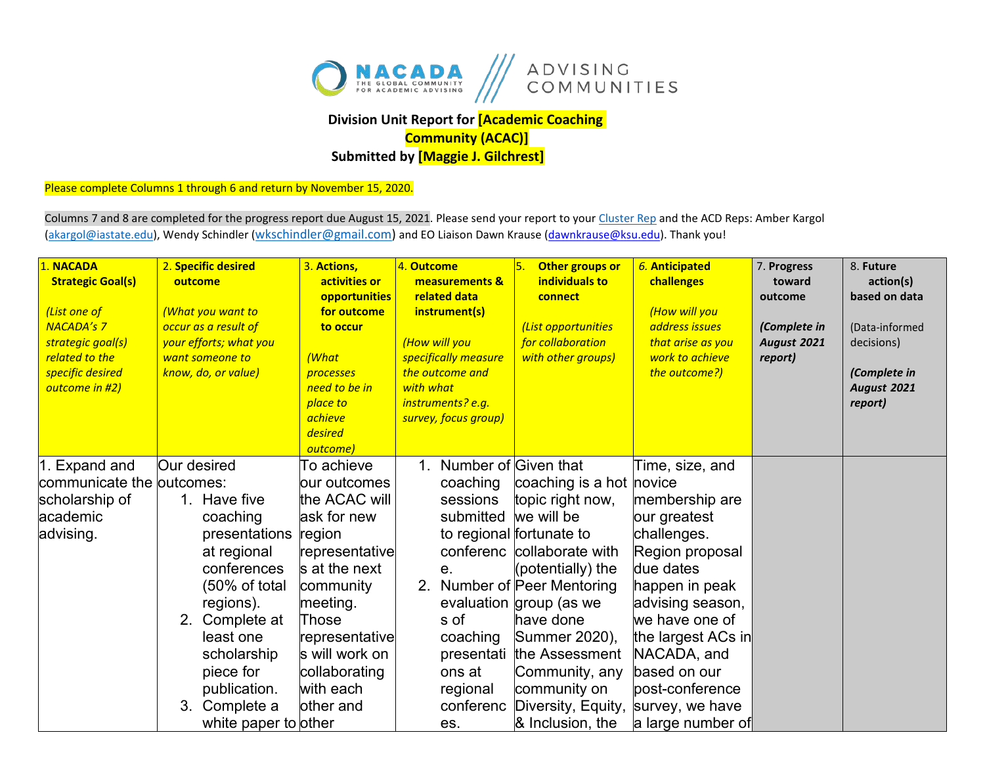

## **Division Unit Report for [Academic Coaching Community (ACAC)] Submitted by [Maggie J. Gilchrest]**

Please complete Columns 1 through 6 and return by November 15, 2020.

Columns 7 and 8 are completed for the progress report due August 15, 2021. Please send your report to you[r Cluster Rep](https://nacada.ksu.edu/Portals/0/CandIGDivision/documents/2020ClusterReps.pdf?ver=2020-03-10-170345-173) and the ACD Reps: Amber Kargol [\(akargol@iastate.edu\)](mailto:akargol@iastate.edu), Wendy Schindler [\(wkschindler@gmail.com\)](mailto:wkschindler@gmail.com) and EO Liaison Dawn Krause (dawnkrause@ksu.edu). Thank you!

| 1. NACADA<br><b>Strategic Goal(s)</b><br>(List one of<br><b>NACADA's 7</b><br>strategic goal(s)<br>related to the<br>specific desired<br>outcome in #2) | outcome | 2. Specific desired<br>(What you want to<br>occur as a result of<br>your efforts; what you<br>want someone to<br>know, do, or value) | 3. Actions,<br>activities or<br><b>opportunities</b><br>for outcome<br>to occur<br>(What<br>processes<br>need to be in<br>place to<br><i>achieve</i> | 4. Outcome<br>with what | measurements &<br>related data<br>instrument(s)<br>(How will you<br>specifically measure<br>the outcome and<br>instruments? e.g.<br>survey, focus group) | Other groups or<br>individuals to<br>connect<br>(List opportunities<br>for collaboration<br>with other groups) | 6. Anticipated<br>challenges<br>(How will you<br>address issues<br>that arise as you<br>work to achieve<br>the outcome?) | 7. Progress<br>toward<br>outcome<br>(Complete in<br>August 2021<br>report) | 8. Future<br>action(s)<br>based on data<br>(Data-informed<br>decisions)<br>(Complete in<br>August 2021<br>report) |
|---------------------------------------------------------------------------------------------------------------------------------------------------------|---------|--------------------------------------------------------------------------------------------------------------------------------------|------------------------------------------------------------------------------------------------------------------------------------------------------|-------------------------|----------------------------------------------------------------------------------------------------------------------------------------------------------|----------------------------------------------------------------------------------------------------------------|--------------------------------------------------------------------------------------------------------------------------|----------------------------------------------------------------------------|-------------------------------------------------------------------------------------------------------------------|
|                                                                                                                                                         |         |                                                                                                                                      | desired<br>outcome)                                                                                                                                  |                         |                                                                                                                                                          |                                                                                                                |                                                                                                                          |                                                                            |                                                                                                                   |
| 1. Expand and                                                                                                                                           |         | Our desired                                                                                                                          | To achieve                                                                                                                                           |                         | 1. Number of Given that                                                                                                                                  |                                                                                                                | Time, size, and                                                                                                          |                                                                            |                                                                                                                   |
| communicate the outcomes:                                                                                                                               |         |                                                                                                                                      | our outcomes                                                                                                                                         |                         | coaching                                                                                                                                                 | coaching is a hot novice                                                                                       |                                                                                                                          |                                                                            |                                                                                                                   |
| scholarship of                                                                                                                                          | 1.      | Have five                                                                                                                            | the ACAC will                                                                                                                                        |                         | sessions                                                                                                                                                 | topic right now,                                                                                               | membership are                                                                                                           |                                                                            |                                                                                                                   |
| academic                                                                                                                                                |         | coaching                                                                                                                             | ask for new                                                                                                                                          |                         | submitted                                                                                                                                                | we will be                                                                                                     | our greatest                                                                                                             |                                                                            |                                                                                                                   |
| advising.                                                                                                                                               |         | presentations                                                                                                                        | region                                                                                                                                               |                         |                                                                                                                                                          | to regional fortunate to                                                                                       | challenges.                                                                                                              |                                                                            |                                                                                                                   |
|                                                                                                                                                         |         | at regional                                                                                                                          | representative                                                                                                                                       |                         |                                                                                                                                                          | conferenc collaborate with                                                                                     | Region proposal                                                                                                          |                                                                            |                                                                                                                   |
|                                                                                                                                                         |         | conferences                                                                                                                          | s at the next                                                                                                                                        |                         | е.                                                                                                                                                       | ( $potentially)$ the                                                                                           | due dates                                                                                                                |                                                                            |                                                                                                                   |
|                                                                                                                                                         |         | (50% of total                                                                                                                        | community                                                                                                                                            |                         |                                                                                                                                                          | 2. Number of Peer Mentoring                                                                                    | happen in peak                                                                                                           |                                                                            |                                                                                                                   |
|                                                                                                                                                         |         | regions).                                                                                                                            | meeting.                                                                                                                                             |                         |                                                                                                                                                          | evaluation group (as we                                                                                        | advising season,                                                                                                         |                                                                            |                                                                                                                   |
|                                                                                                                                                         | 2.      | Complete at                                                                                                                          | Those                                                                                                                                                |                         | s of                                                                                                                                                     | have done                                                                                                      | we have one of                                                                                                           |                                                                            |                                                                                                                   |
|                                                                                                                                                         |         | least one                                                                                                                            | representative                                                                                                                                       |                         | coaching                                                                                                                                                 | Summer 2020),                                                                                                  | the largest ACs in                                                                                                       |                                                                            |                                                                                                                   |
|                                                                                                                                                         |         | scholarship                                                                                                                          | s will work on                                                                                                                                       |                         |                                                                                                                                                          | presentati the Assessment                                                                                      | NACADA, and                                                                                                              |                                                                            |                                                                                                                   |
|                                                                                                                                                         |         | piece for                                                                                                                            | collaborating                                                                                                                                        |                         | ons at                                                                                                                                                   | Community, any                                                                                                 | based on our                                                                                                             |                                                                            |                                                                                                                   |
|                                                                                                                                                         |         | publication.                                                                                                                         | with each                                                                                                                                            |                         | regional                                                                                                                                                 | community on                                                                                                   | post-conference                                                                                                          |                                                                            |                                                                                                                   |
|                                                                                                                                                         | 3.      | Complete a                                                                                                                           | other and                                                                                                                                            |                         | conferenc                                                                                                                                                | Diversity, Equity,                                                                                             | survey, we have                                                                                                          |                                                                            |                                                                                                                   |
|                                                                                                                                                         |         | white paper to other                                                                                                                 |                                                                                                                                                      |                         | es.                                                                                                                                                      | & Inclusion, the                                                                                               | a large number of                                                                                                        |                                                                            |                                                                                                                   |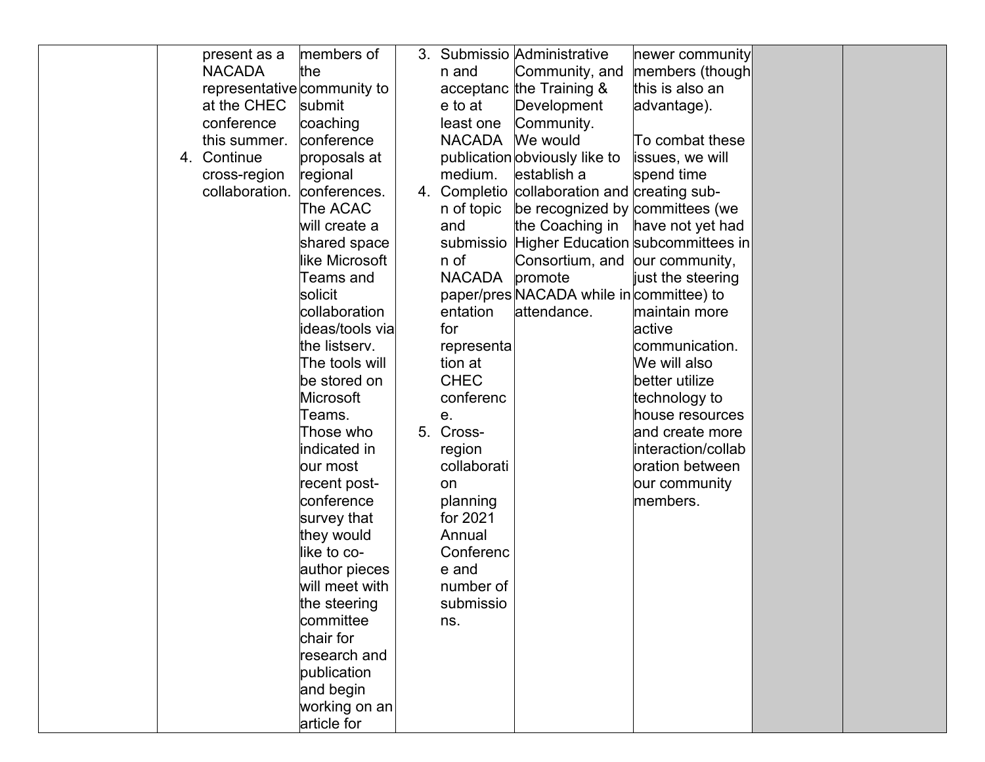|  | present as a   | members of                  |    |               | 3. Submissio Administrative                  | newer community                             |  |
|--|----------------|-----------------------------|----|---------------|----------------------------------------------|---------------------------------------------|--|
|  | <b>NACADA</b>  | the                         |    | n and         | Community, and                               | members (though                             |  |
|  |                | representative community to |    |               | acceptanc the Training &                     | this is also an                             |  |
|  | at the CHEC    | submit                      |    | e to at       | Development                                  | advantage).                                 |  |
|  | conference     | coaching                    |    | least one     | Community.                                   |                                             |  |
|  | this summer.   | conference                  |    | NACADA        | We would                                     | To combat these                             |  |
|  | 4. Continue    | proposals at                |    |               | publication obviously like to                | issues, we will                             |  |
|  | cross-region   | regional                    |    | medium.       | establish a                                  | spend time                                  |  |
|  | collaboration. | conferences.                |    |               | 4. Completio collaboration and creating sub- |                                             |  |
|  |                | The ACAC                    |    |               | n of topic   be recognized by committees (we |                                             |  |
|  |                | will create a               |    | and           | the Coaching in   have not yet had           |                                             |  |
|  |                | shared space                |    |               |                                              | submissio Higher Education subcommittees in |  |
|  |                | like Microsoft              |    | n of          | Consortium, and our community,               |                                             |  |
|  |                | <b>Teams</b> and            |    | <b>NACADA</b> | promote                                      | just the steering                           |  |
|  |                | solicit                     |    |               | paper/pres NACADA while in committee) to     |                                             |  |
|  |                | collaboration               |    | entation      | attendance.                                  | maintain more                               |  |
|  |                | ideas/tools via             |    | for           |                                              | active                                      |  |
|  |                | the listserv.               |    | representa    |                                              | communication.                              |  |
|  |                | The tools will              |    | tion at       |                                              | We will also                                |  |
|  |                | be stored on                |    | <b>CHEC</b>   |                                              | better utilize                              |  |
|  |                | Microsoft                   |    | conferenc     |                                              | technology to                               |  |
|  |                | Teams.                      |    | е.            |                                              | house resources                             |  |
|  |                | Those who                   | 5. | Cross-        |                                              | and create more                             |  |
|  |                | indicated in                |    | region        |                                              | interaction/collab                          |  |
|  |                | our most                    |    | collaborati   |                                              | oration between                             |  |
|  |                | recent post-                |    | on            |                                              | our community                               |  |
|  |                | conference                  |    | planning      |                                              | members.                                    |  |
|  |                | survey that                 |    | for 2021      |                                              |                                             |  |
|  |                | they would                  |    | Annual        |                                              |                                             |  |
|  |                | like to co-                 |    | Conferenc     |                                              |                                             |  |
|  |                | author pieces               |    | e and         |                                              |                                             |  |
|  |                | will meet with              |    | number of     |                                              |                                             |  |
|  |                | the steering                |    | submissio     |                                              |                                             |  |
|  |                | committee                   |    | ns.           |                                              |                                             |  |
|  |                | chair for                   |    |               |                                              |                                             |  |
|  |                | research and                |    |               |                                              |                                             |  |
|  |                | publication                 |    |               |                                              |                                             |  |
|  |                | and begin                   |    |               |                                              |                                             |  |
|  |                | working on an               |    |               |                                              |                                             |  |
|  |                |                             |    |               |                                              |                                             |  |
|  |                | article for                 |    |               |                                              |                                             |  |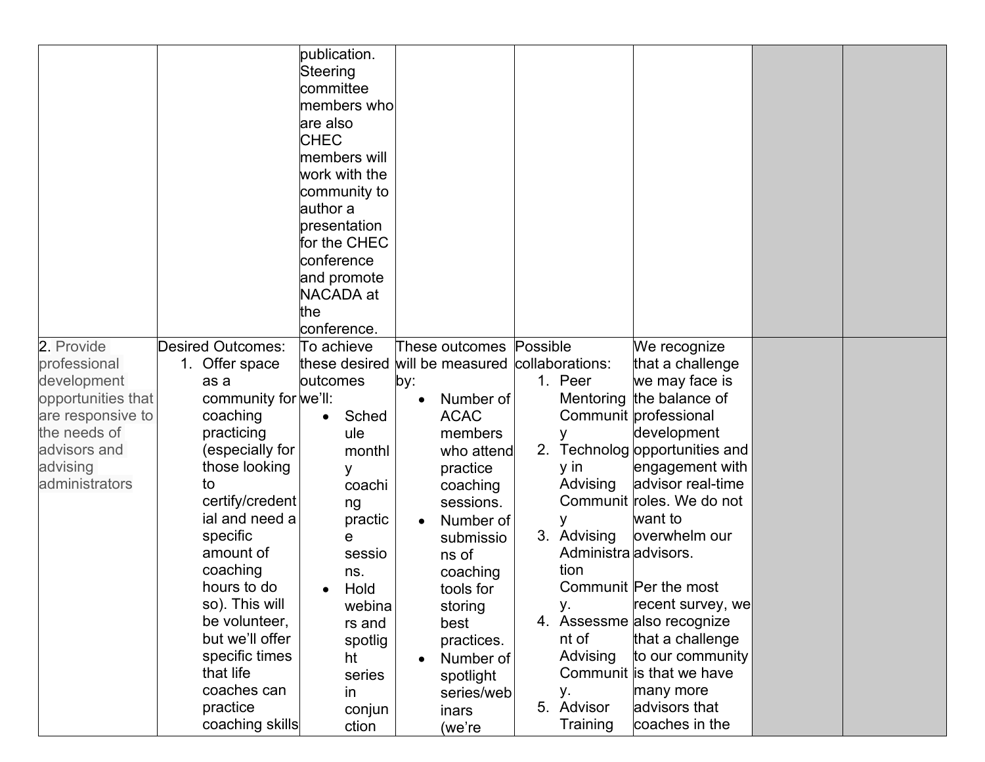| 2. Provide         | <b>Desired Outcomes:</b> | publication.<br>Steering<br>committee<br>members whol<br>are also<br><b>CHEC</b><br>members will<br>work with the<br>community to<br>author a<br>presentation<br>for the CHEC<br>conference<br>and promote<br>NACADA at<br>the<br>conference.<br>To achieve | These outcomes Possible          |                      | We recognize                   |  |
|--------------------|--------------------------|-------------------------------------------------------------------------------------------------------------------------------------------------------------------------------------------------------------------------------------------------------------|----------------------------------|----------------------|--------------------------------|--|
| professional       | 1. Offer space           | these desired                                                                                                                                                                                                                                               | will be measured collaborations: |                      | that a challenge               |  |
| development        | as a                     | outcomes                                                                                                                                                                                                                                                    | by:                              | 1. Peer              | we may face is                 |  |
| opportunities that | community for we'll:     |                                                                                                                                                                                                                                                             | Number of<br>$\bullet$           |                      | Mentoring the balance of       |  |
| are responsive to  | coaching                 | Sched                                                                                                                                                                                                                                                       | <b>ACAC</b>                      |                      | Communit professional          |  |
| the needs of       | practicing               | ule                                                                                                                                                                                                                                                         | members                          |                      | development                    |  |
| advisors and       | (especially for          | monthl                                                                                                                                                                                                                                                      | who attend                       |                      | 2. Technolog opportunities and |  |
| advising           | those looking            | у                                                                                                                                                                                                                                                           | practice                         | y in                 | engagement with                |  |
| administrators     | to                       | coachi                                                                                                                                                                                                                                                      | coaching                         | Advising             | advisor real-time              |  |
|                    | certify/credent          | ng                                                                                                                                                                                                                                                          | sessions.                        |                      | Communit roles. We do not      |  |
|                    | ial and need a           | practic                                                                                                                                                                                                                                                     | Number of                        | y                    | want to                        |  |
|                    | specific                 | е                                                                                                                                                                                                                                                           | submissio                        | 3. Advising          | overwhelm our                  |  |
|                    | amount of                | sessio                                                                                                                                                                                                                                                      | ns of                            | Administra advisors. |                                |  |
|                    | coaching                 | ns.                                                                                                                                                                                                                                                         | coaching                         | tion                 |                                |  |
|                    | hours to do              | Hold                                                                                                                                                                                                                                                        | tools for                        |                      | Communit Per the most          |  |
|                    | so). This will           | webina                                                                                                                                                                                                                                                      | storing                          | у.                   | ∣recent survey, we∣            |  |
|                    | be volunteer,            | rs and                                                                                                                                                                                                                                                      | best                             |                      | 4. Assessme also recognize     |  |
|                    | but we'll offer          | spotlig                                                                                                                                                                                                                                                     | practices.                       | nt of                | that a challenge               |  |
|                    | specific times           | ht                                                                                                                                                                                                                                                          | Number of                        | Advising             | to our community               |  |
|                    | that life                | series                                                                                                                                                                                                                                                      | spotlight                        |                      | Communit is that we have       |  |
|                    | coaches can              | in                                                                                                                                                                                                                                                          | series/web                       | у.                   | many more                      |  |
|                    | practice                 | conjun                                                                                                                                                                                                                                                      | inars                            | 5. Advisor           | advisors that                  |  |
|                    | coaching skills          | ction                                                                                                                                                                                                                                                       | (we're                           | Training             | coaches in the                 |  |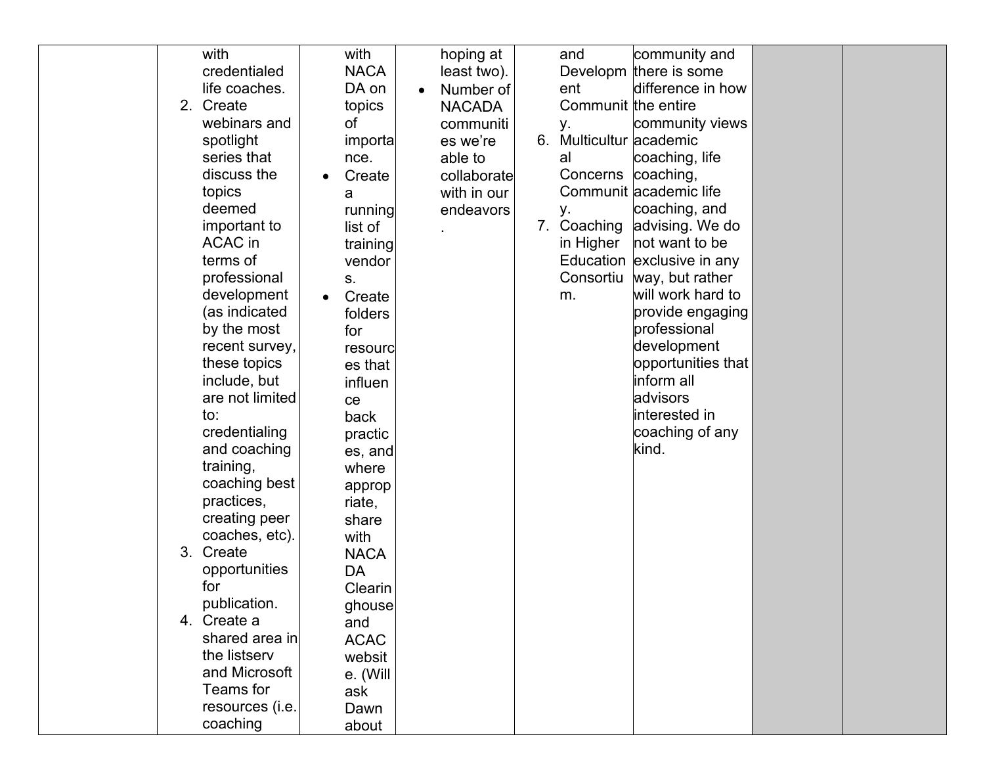|    | with            | with        |           | hoping at     |    | and                  | community and              |  |
|----|-----------------|-------------|-----------|---------------|----|----------------------|----------------------------|--|
|    | credentialed    | <b>NACA</b> |           | least two).   |    |                      | Developm there is some     |  |
|    | life coaches.   | DA on       | $\bullet$ | Number of     |    | ent                  | difference in how          |  |
| 2. | Create          | topics      |           | <b>NACADA</b> |    | Communit the entire  |                            |  |
|    | webinars and    | of          |           | communiti     |    | у.                   | community views            |  |
|    | spotlight       | importa     |           | es we're      | 6. | Multicultur academic |                            |  |
|    | series that     | nce.        |           | able to       |    | al                   | coaching, life             |  |
|    | discuss the     | Create      |           | collaborate   |    | Concerns coaching,   |                            |  |
|    | topics          | а           |           | with in our   |    |                      | Communit academic life     |  |
|    | deemed          | running     |           | endeavors     |    | у.                   | coaching, and              |  |
|    | important to    | list of     |           |               |    | 7. Coaching          | advising. We do            |  |
|    | <b>ACAC</b> in  | training    |           |               |    | in Higher            | not want to be             |  |
|    | terms of        | vendor      |           |               |    |                      | Education exclusive in any |  |
|    | professional    | S.          |           |               |    | Consortiu            | way, but rather            |  |
|    | development     | Create      |           |               |    | m.                   | will work hard to          |  |
|    | (as indicated   | folders     |           |               |    |                      | provide engaging           |  |
|    | by the most     | for         |           |               |    |                      | professional               |  |
|    | recent survey,  | resourc     |           |               |    |                      | development                |  |
|    | these topics    | es that     |           |               |    |                      | opportunities that         |  |
|    | include, but    | influen     |           |               |    |                      | inform all                 |  |
|    | are not limited | ce          |           |               |    |                      | advisors                   |  |
|    | to:             | back        |           |               |    |                      | interested in              |  |
|    | credentialing   | practic     |           |               |    |                      | coaching of any            |  |
|    | and coaching    | es, and     |           |               |    |                      | kind.                      |  |
|    | training,       | where       |           |               |    |                      |                            |  |
|    | coaching best   | approp      |           |               |    |                      |                            |  |
|    | practices,      | riate,      |           |               |    |                      |                            |  |
|    | creating peer   | share       |           |               |    |                      |                            |  |
|    | coaches, etc).  | with        |           |               |    |                      |                            |  |
| 3. | Create          | <b>NACA</b> |           |               |    |                      |                            |  |
|    | opportunities   | <b>DA</b>   |           |               |    |                      |                            |  |
|    | for             | Clearin     |           |               |    |                      |                            |  |
|    | publication.    | ghouse      |           |               |    |                      |                            |  |
|    | 4. Create a     | and         |           |               |    |                      |                            |  |
|    | shared area in  | <b>ACAC</b> |           |               |    |                      |                            |  |
|    | the listserv    | websit      |           |               |    |                      |                            |  |
|    | and Microsoft   | e. (Will    |           |               |    |                      |                            |  |
|    | Teams for       | ask         |           |               |    |                      |                            |  |
|    | resources (i.e. | Dawn        |           |               |    |                      |                            |  |
|    | coaching        | about       |           |               |    |                      |                            |  |
|    |                 |             |           |               |    |                      |                            |  |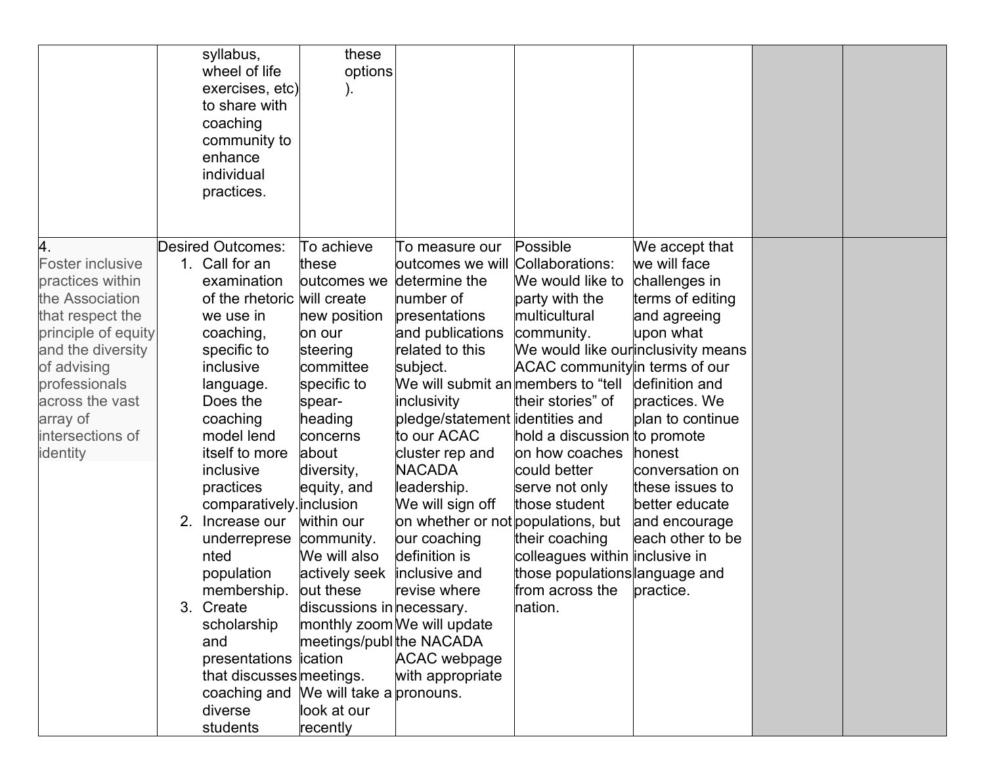|                                                                                                                                                                                                                               | syllabus,<br>wheel of life<br>exercises, etc)<br>to share with<br>coaching<br>community to<br>enhance<br>individual<br>practices.                                                                                                                                                                                                                                                                                                                                                 | these<br>options                                                                                                                                                                                                                                                                                                                                        |                                                                                                                                                                                                                                                                                                                                                                                                                                                                |                                                                                                                                                                                                                                                                                                                                                                                                                                                                               |                                                                                                                                                                                                                                                           |  |
|-------------------------------------------------------------------------------------------------------------------------------------------------------------------------------------------------------------------------------|-----------------------------------------------------------------------------------------------------------------------------------------------------------------------------------------------------------------------------------------------------------------------------------------------------------------------------------------------------------------------------------------------------------------------------------------------------------------------------------|---------------------------------------------------------------------------------------------------------------------------------------------------------------------------------------------------------------------------------------------------------------------------------------------------------------------------------------------------------|----------------------------------------------------------------------------------------------------------------------------------------------------------------------------------------------------------------------------------------------------------------------------------------------------------------------------------------------------------------------------------------------------------------------------------------------------------------|-------------------------------------------------------------------------------------------------------------------------------------------------------------------------------------------------------------------------------------------------------------------------------------------------------------------------------------------------------------------------------------------------------------------------------------------------------------------------------|-----------------------------------------------------------------------------------------------------------------------------------------------------------------------------------------------------------------------------------------------------------|--|
| <b>Foster inclusive</b><br>practices within<br>the Association<br>that respect the<br>principle of equity<br>and the diversity<br>of advising<br>professionals<br>across the vast<br>array of<br>intersections of<br>identity | Desired Outcomes:<br>1. Call for an<br>examination<br>of the rhetoric<br>we use in<br>coaching,<br>specific to<br>inclusive<br>language.<br>Does the<br>coaching<br>model lend<br>itself to more<br>inclusive<br>practices<br>comparatively inclusion<br>Increase our<br>underreprese<br>nted<br>population<br>membership.<br>3. Create<br>scholarship<br>and<br>presentations cation<br>that discusses meetings.<br>coaching and Me will take a pronouns.<br>diverse<br>students | To achieve<br>these<br>outcomes we<br>will create<br>new position<br>on our<br>steering<br>committee<br>specific to<br>spear-<br>heading<br>concerns<br>about<br>diversity,<br>equity, and<br>within our<br>community.<br>We will also<br>actively seek<br>out these<br>discussions in necessary.<br>meetings/publthe NACADA<br>look at our<br>recently | To measure our<br>outcomes we will<br>determine the<br>number of<br>presentations<br>and publications<br>related to this<br>subject.<br>inclusivity<br>pledge/statement identities and<br>to our ACAC<br>cluster rep and<br><b>NACADA</b><br>leadership.<br>We will sign off<br>on whether or not populations, but<br>our coaching<br>definition is<br>inclusive and<br>revise where<br>monthly zoom We will update<br><b>ACAC</b> webpage<br>with appropriate | Possible<br>Collaborations:<br>We would like to<br>party with the<br>multicultural<br>community.<br>We would like our inclusivity means<br>ACAC community in terms of our<br>We will submit an members to "tell   definition and<br>their stories" of<br>hold a discussion to promote<br>on how coaches<br>could better<br>serve not only<br>those student<br>their coaching<br>colleagues within inclusive in<br>those populations anguage and<br>from across the<br>nation. | We accept that<br>we will face<br>challenges in<br>terms of editing<br>and agreeing<br>upon what<br>practices. We<br>plan to continue<br>honest<br>conversation on<br>these issues to<br>better educate<br>and encourage<br>each other to be<br>practice. |  |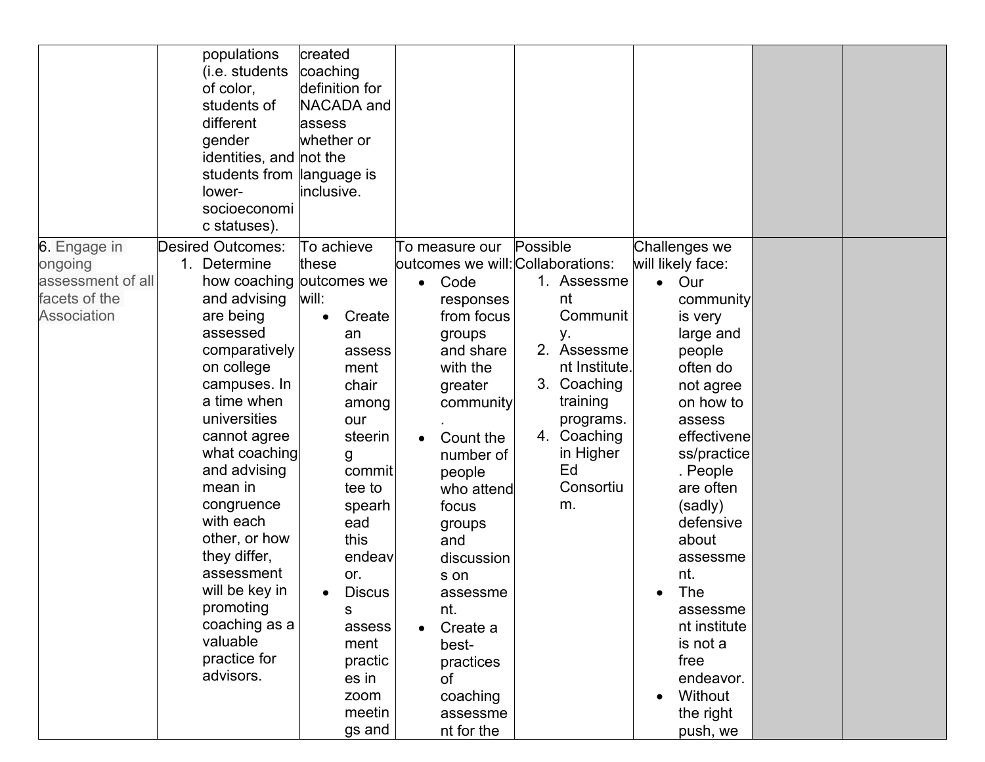|                                              | populations<br>(i.e. students<br>of color,<br>students of<br>different<br>gender<br>identities, and not the<br>students from language is<br>lower-<br>socioeconomi<br>c statuses). | created<br>coaching<br>definition for<br>NACADA and<br>assess<br>whether or<br>inclusive. |                                                     |                          |                                           |  |
|----------------------------------------------|------------------------------------------------------------------------------------------------------------------------------------------------------------------------------------|-------------------------------------------------------------------------------------------|-----------------------------------------------------|--------------------------|-------------------------------------------|--|
| 6. Engage in<br>ongoing<br>assessment of all | <b>Desired Outcomes:</b><br>1. Determine                                                                                                                                           | To achieve<br>these                                                                       | To measure our<br>outcomes we will: Collaborations: | Possible<br>1. Assessme  | Challenges we<br>will likely face:<br>Our |  |
| facets of the                                | how coaching outcomes we<br>and advising                                                                                                                                           | will:                                                                                     | Code<br>$\bullet$<br>responses                      | nt                       | $\bullet$<br>community                    |  |
| <b>Association</b>                           | are being                                                                                                                                                                          | Create                                                                                    | from focus                                          | Communit                 | is very                                   |  |
|                                              | assessed                                                                                                                                                                           | an                                                                                        | groups                                              | у.                       | large and                                 |  |
|                                              | comparatively                                                                                                                                                                      | assess                                                                                    | and share                                           | 2. Assessme              | people                                    |  |
|                                              | on college                                                                                                                                                                         | ment                                                                                      | with the                                            | nt Institute.            | often do                                  |  |
|                                              | campuses. In                                                                                                                                                                       | chair                                                                                     | greater                                             | 3. Coaching              | not agree                                 |  |
|                                              | a time when<br>universities                                                                                                                                                        | among                                                                                     | community                                           | training                 | on how to                                 |  |
|                                              | cannot agree                                                                                                                                                                       | our<br>steerin                                                                            | Count the                                           | programs.<br>4. Coaching | assess<br>effectivene                     |  |
|                                              | what coaching                                                                                                                                                                      | g                                                                                         | number of                                           | in Higher                | ss/practice                               |  |
|                                              | and advising                                                                                                                                                                       | commit                                                                                    | people                                              | Ed                       | . People                                  |  |
|                                              | mean in                                                                                                                                                                            | tee to                                                                                    | who attend                                          | Consortiu                | are often                                 |  |
|                                              | congruence                                                                                                                                                                         | spearh                                                                                    | focus                                               | m.                       | (sadly)                                   |  |
|                                              | with each                                                                                                                                                                          | ead                                                                                       | groups                                              |                          | defensive                                 |  |
|                                              | other, or how                                                                                                                                                                      | this                                                                                      | and                                                 |                          | about                                     |  |
|                                              | they differ,                                                                                                                                                                       | endeav                                                                                    | discussion                                          |                          | assessme                                  |  |
|                                              | assessment<br>will be key in                                                                                                                                                       | or.                                                                                       | s on                                                |                          | nt.                                       |  |
|                                              | promoting                                                                                                                                                                          | <b>Discus</b><br>$\bullet$<br>s                                                           | assessme<br>nt.                                     |                          | The<br>assessme                           |  |
|                                              | coaching as a                                                                                                                                                                      | assess                                                                                    | Create a                                            |                          | nt institute                              |  |
|                                              | valuable                                                                                                                                                                           | ment                                                                                      | best-                                               |                          | is not a                                  |  |
|                                              | practice for                                                                                                                                                                       | practic                                                                                   | practices                                           |                          | free                                      |  |
|                                              | advisors.                                                                                                                                                                          | es in                                                                                     | of                                                  |                          | endeavor.                                 |  |
|                                              |                                                                                                                                                                                    | zoom                                                                                      | coaching                                            |                          | Without                                   |  |
|                                              |                                                                                                                                                                                    | meetin                                                                                    | assessme                                            |                          | the right                                 |  |
|                                              |                                                                                                                                                                                    | gs and                                                                                    | nt for the                                          |                          | push, we                                  |  |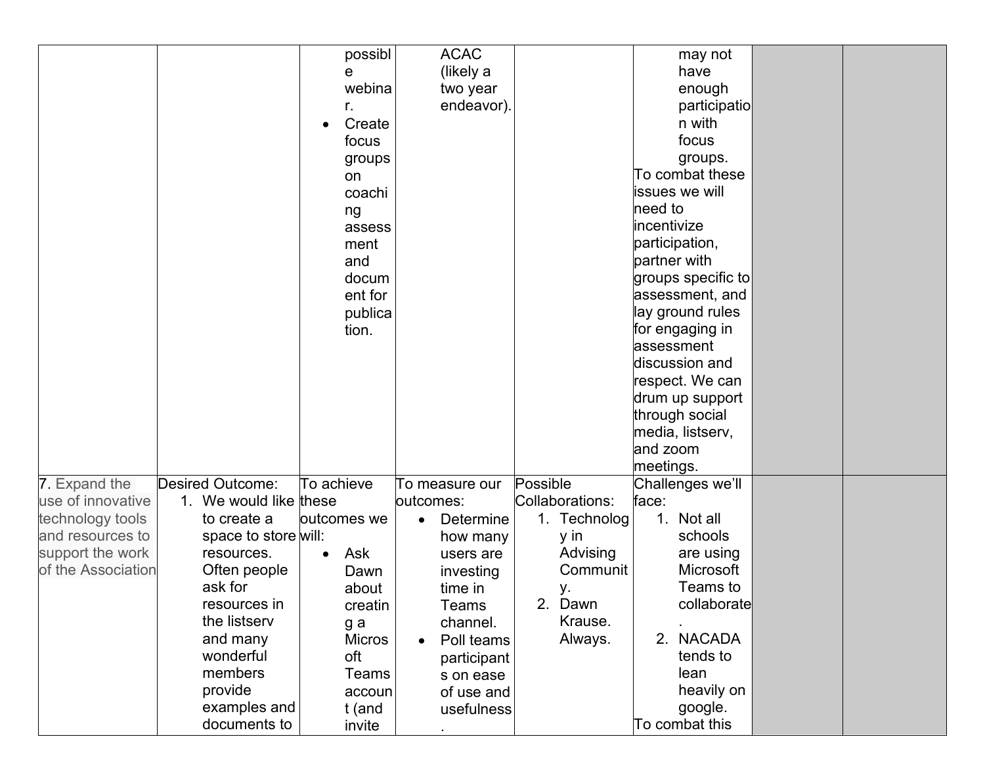|                    |                        | possibl       | <b>ACAC</b>    |                 | may not            |  |
|--------------------|------------------------|---------------|----------------|-----------------|--------------------|--|
|                    |                        | е             | (likely a      |                 | have               |  |
|                    |                        | webina        | two year       |                 | enough             |  |
|                    |                        | r.            | endeavor).     |                 | participatio       |  |
|                    |                        | Create        |                |                 | n with             |  |
|                    |                        | focus         |                |                 | focus              |  |
|                    |                        | groups        |                |                 | groups.            |  |
|                    |                        | on            |                |                 | To combat these    |  |
|                    |                        | coachi        |                |                 | issues we will     |  |
|                    |                        | ng            |                |                 | need to            |  |
|                    |                        | assess        |                |                 | lincentivize       |  |
|                    |                        | ment          |                |                 | participation,     |  |
|                    |                        | and           |                |                 | partner with       |  |
|                    |                        | docum         |                |                 | groups specific to |  |
|                    |                        | ent for       |                |                 | assessment, and    |  |
|                    |                        | publica       |                |                 | lay ground rules   |  |
|                    |                        | tion.         |                |                 | for engaging in    |  |
|                    |                        |               |                |                 | assessment         |  |
|                    |                        |               |                |                 | discussion and     |  |
|                    |                        |               |                |                 | respect. We can    |  |
|                    |                        |               |                |                 | drum up support    |  |
|                    |                        |               |                |                 | through social     |  |
|                    |                        |               |                |                 | media, listserv,   |  |
|                    |                        |               |                |                 | and zoom           |  |
|                    |                        |               |                |                 | meetings.          |  |
| 7. Expand the      | Desired Outcome:       | To achieve    | To measure our | Possible        | Challenges we'll   |  |
| use of innovative  | 1. We would like these |               | outcomes:      | Collaborations: | face:              |  |
| technology tools   | to create a            | outcomes we   | Determine      | 1. Technolog    | Not all<br>1.      |  |
| and resources to   | space to store will:   |               | how many       | y in            | schools            |  |
| support the work   | resources.             | Ask           | users are      | Advising        | are using          |  |
| of the Association | Often people           | Dawn          | investing      | Communit        | Microsoft          |  |
|                    | ask for                | about         | time in        | у.              | Teams to           |  |
|                    | resources in           | creatin       | Teams          | 2. Dawn         | collaborate        |  |
|                    | the listserv           | g a           | channel.       | Krause.         |                    |  |
|                    | and many               | <b>Micros</b> | Poll teams     | Always.         | 2. NACADA          |  |
|                    | wonderful              | oft           | participant    |                 | tends to           |  |
|                    | members                | Teams         | s on ease      |                 | lean               |  |
|                    | provide                | accoun        | of use and     |                 | heavily on         |  |
|                    | examples and           | t (and        | usefulness     |                 | google.            |  |
|                    | documents to           | invite        |                |                 | To combat this     |  |
|                    |                        |               |                |                 |                    |  |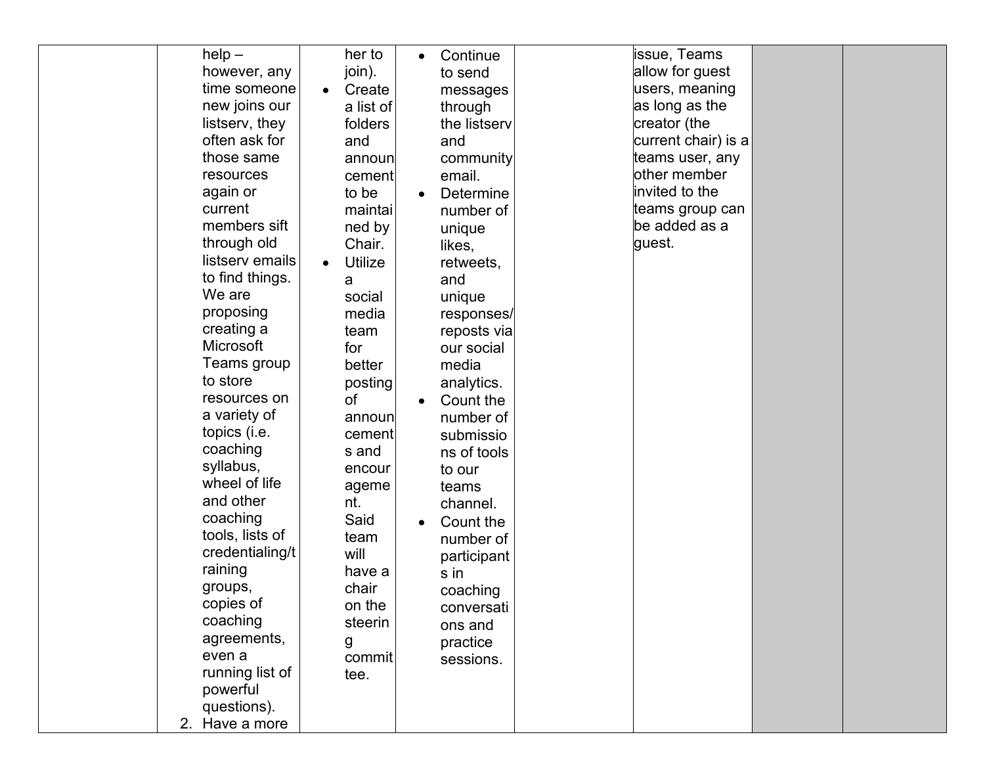| $help -$<br>issue, Teams<br>her to<br>Continue<br>$\bullet$          |  |
|----------------------------------------------------------------------|--|
|                                                                      |  |
| allow for guest<br>however, any<br>join).<br>to send<br>time someone |  |
| Create<br>users, meaning<br>messages                                 |  |
| as long as the<br>new joins our<br>a list of<br>through              |  |
| creator (the<br>listserv, they<br>folders<br>the listserv            |  |
| often ask for<br>current chair) is a<br>and<br>and                   |  |
| those same<br>teams user, any<br>community<br>announ                 |  |
| other member<br>resources<br>email.<br>cement                        |  |
| invited to the<br>again or<br>to be<br>Determine                     |  |
| current<br>maintail<br>teams group can<br>number of                  |  |
| members sift<br>be added as a<br>ned by<br>unique                    |  |
| through old<br>Chair.<br>guest.<br>likes,                            |  |
| listserv emails<br><b>Utilize</b><br>retweets,                       |  |
| to find things.<br>and<br>a                                          |  |
| We are<br>social<br>unique                                           |  |
| proposing<br>media<br>responses/                                     |  |
| creating a<br>reposts via<br>team                                    |  |
| Microsoft<br>for<br>our social                                       |  |
| Teams group<br>better<br>media                                       |  |
| to store<br>posting<br>analytics.                                    |  |
| resources on<br>of<br>Count the                                      |  |
| a variety of<br>announ<br>number of                                  |  |
| topics (i.e.<br>cement<br>submissio                                  |  |
| coaching<br>s and<br>ns of tools                                     |  |
| syllabus,<br>encour<br>to our                                        |  |
| wheel of life<br>ageme<br>teams                                      |  |
| and other<br>nt.<br>channel.                                         |  |
| coaching<br>Said<br>Count the                                        |  |
| tools, lists of<br>team<br>number of                                 |  |
| credentialing/t<br>will<br>participant                               |  |
| raining<br>have a<br>s in                                            |  |
| groups,<br>chair<br>coaching                                         |  |
| copies of<br>on the<br>conversati                                    |  |
| coaching<br>steerin<br>ons and                                       |  |
| agreements,<br>practice<br>g                                         |  |
| even a<br>commit<br>sessions.                                        |  |
| running list of<br>tee.                                              |  |
| powerful                                                             |  |
| questions).                                                          |  |
| 2. Have a more                                                       |  |